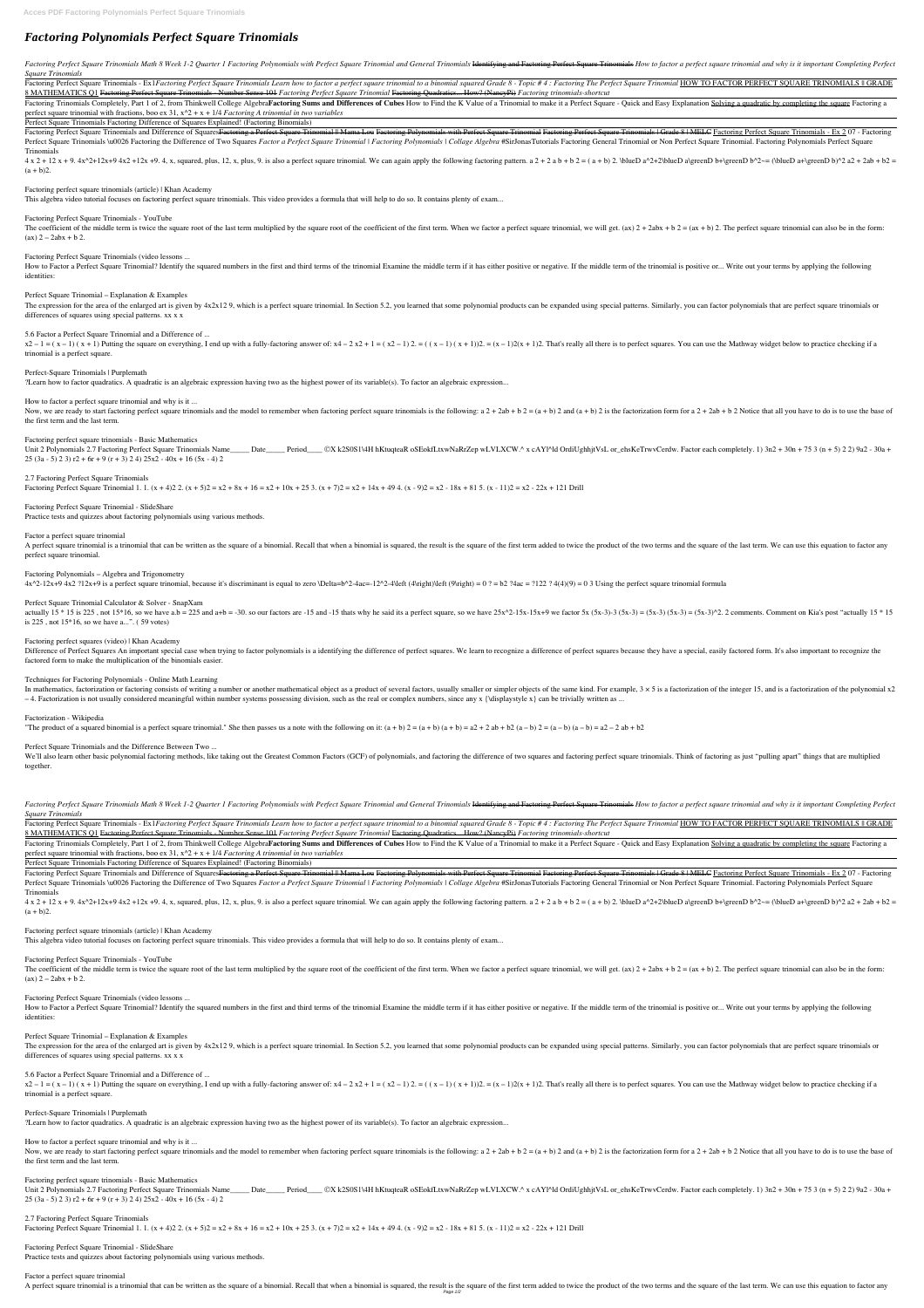# *Factoring Polynomials Perfect Square Trinomials*

Factoring Perfect Square Trinomials Math 8 Week 1-2 Quarter 1 Factoring Polynomials with Perfect Square Trinomial and General Trinomials Hentifying and Factoring Perfect Square Trinomials How to factor a perfect square tri *Square Trinomials*

Factoring Perfect Square Trinomials - Ex1Factoring Perfect Square Trinomials Learn how to factor a perfect square trinomial to a binomial squared Grade 8 - Topic #4: Factoring The Perfect Square Trinomial HOW TO FACTOR PER 8 MATHEMATICS Q1 Factoring Perfect Square Trinomials - Number Sense 101 *Factoring Perfect Square Trinomial* Factoring Quadratics... How? (NancyPi) *Factoring trinomials-shortcut*

Factoring Trinomials Completely, Part 1 of 2, from Thinkwell College AlgebraFactoring Sums and Differences of Cubes How to Find the K Value of a Trinomial to make it a Perfect Square - Quick and Easy Explanation Solving a perfect square trinomial with fractions, boo ex 31, x^2 + x + 1/4 *Factoring A trinomial in two variables*

Factoring Perfect Square Trinomials and Difference of Squares Factoring a Perfect Square Trinomial || Mama Lou Factoring Polynomials with Perfect Square Trinomials | Grade 8 | MELC Factoring Perfect Square Trinomials - Ex Perfect Square Trinomials \u0026 Factoring the Difference of Two Squares Factor a Perfect Square Trinomial | Factoring Polynomials | Collage Algebra #SirJonasTutorials Factoring General Trinomial or Non Perfect Square Trin Trinomials

 $4 \times 2 + 12 \times + 9$ .  $4 \times 2 + 12 \times + 9$ .  $4 \times 2 + 12 \times + 9$ .  $4 \times 2 + 12 \times + 9$ .  $4 \times 2 + 12 \times + 9$ .  $4 \times 2 + 12 \times + 9$ .  $4 \times 2 + 12 \times + 9$ .  $4 \times 2 + 12 \times + 9$ .  $4 \times 2 + 12 \times + 9$ .  $4 \times 2 + 12 \times + 9$ .  $4 \times 2 + 12 \times + 9$ .  $4 \times 2 + 12 \times + 9$ .  $4 \times$  $(a + b)2$ .

Perfect Square Trinomials Factoring Difference of Squares Explained! (Factoring Binomials)

How to Factor a Perfect Square Trinomial? Identify the squared numbers in the first and third terms of the trinomial Examine the middle term if it has either positive or negative. If the middle term of the trinomial is pos identities:

 $x^2-1 = (x-1)(x+1)$  Putting the square on everything, I end up with a fully-factoring answer of:  $x^4 - 2x^2 + 1 = (x^2 - 1)2$ .  $x = (x - 1)(x + 1)2$ . That's really all there is to perfect squares. You can use the Mathway widget belo trinomial is a perfect square.

Factoring perfect square trinomials (article) | Khan Academy

Now, we are ready to start factoring perfect square trinomials and the model to remember when factoring perfect square trinomials is the following: a  $2 + 2ab + b$   $2 = (a + b)$   $2$  and  $(a + b)$   $2$  is the factorization form for a the first term and the last term.

This algebra video tutorial focuses on factoring perfect square trinomials. This video provides a formula that will help to do so. It contains plenty of exam...

Factoring Perfect Square Trinomials - YouTube

The coefficient of the middle term is twice the square root of the last term multiplied by the square root of the coefficient of the first term. When we factor a perfect square trinomial, we will get. (ax)  $2 + 2$ abx + b  $(ax) 2 - 2abx + b 2.$ 

2.7 Factoring Perfect Square Trinomials Factoring Perfect Square Trinomial 1. 1.  $(x + 4)2$  2.  $(x + 5)2 = x2 + 8x + 16 = x2 + 10x + 25$  3.  $(x + 7)2 = x2 + 14x + 49$  4.  $(x - 9)2 = x2 - 18x + 81$  5.  $(x - 11)2 = x2 - 22x + 121$  Drill

Factoring Perfect Square Trinomials (video lessons ...

A perfect square trinomial is a trinomial that can be written as the square of a binomial. Recall that when a binomial is squared, the result is the square of the first term added to twice the product of the two terms and perfect square trinomial.

actually  $15 * 15$  is 225, not  $15*16$ , so we have a.b = 225 and a+b = -30, so our factors are -15 and -15 thats why he said its a perfect square, so we have  $25x^2-15x-15x+9$  we factor  $5x (5x-3)-3 (5x-3) = (5x-3)(5x-3) = (5x-3)^2$ is 225 , not 15\*16, so we have a...". ( 59 votes)

#### Factoring perfect squares (video) | Khan Academy

Perfect Square Trinomial – Explanation & Examples

The expression for the area of the enlarged art is given by 4x2x129, which is a perfect square trinomial. In Section 5.2, you learned that some polynomial products can be expanded using special patterns. Similarly, you can differences of squares using special patterns. xx x x

Difference of Perfect Squares An important special case when trying to factor polynomials is a identifying the difference of perfect squares. We learn to recognize a difference of perfect squares because they have a specia factored form to make the multiplication of the binomials easier.

5.6 Factor a Perfect Square Trinomial and a Difference of ...

We'll also learn other basic polynomial factoring methods, like taking out the Greatest Common Factors (GCF) of polynomials, and factoring the difference of two squares and factoring perfect square trinomials. Think of fac together.

Perfect-Square Trinomials | Purplemath

?Learn how to factor quadratics. A quadratic is an algebraic expression having two as the highest power of its variable(s). To factor an algebraic expression...

Factoring Perfect Square Trinomials Math 8 Week 1-2 Quarter 1 Factoring Polynomials with Perfect Square Trinomial and General Trinomials Hentifying and Factoring Perfect Square Trinomials How to factor a perfect square tri *Square Trinomials*

How to factor a perfect square trinomial and why is it ...

Factoring Perfect Square Trinomials - Ex1Factoring Perfect Square Trinomials Learn how to factor a perfect square trinomial to a binomial squared Grade 8 - Topic #4: Factoring The Perfect Square Trinomial HOW TO FACTOR PER 8 MATHEMATICS Q1 Factoring Perfect Square Trinomials - Number Sense 101 *Factoring Perfect Square Trinomial* Factoring Quadratics... How? (NancyPi) *Factoring trinomials-shortcut*

Factoring Trinomials Completely, Part 1 of 2, from Thinkwell College AlgebraFactoring Sums and Differences of Cubes How to Find the K Value of a Trinomial to make it a Perfect Square - Quick and Easy Explanation Solving a perfect square trinomial with fractions, boo ex 31, x^2 + x + 1/4 *Factoring A trinomial in two variables*

Factoring perfect square trinomials - Basic Mathematics

Unit 2 Polynomials 2.7 Factoring Perfect Square Trinomials Name Date Period CX k2S0S1\4H hKtuqteaR oSEokfLtxwNaRrZep wLVLXCW.^ x cAYl^ld OrdiUghhitVsL or\_ehsKeTrwvCerdw. Factor each completely. 1) 3n2 + 30n + 75 3 (n + 5) 25 (3a - 5) 2 3)  $r2 + 6r + 9(r + 3)$  2 4) 25x2 - 40x + 16 (5x - 4) 2

Factoring Perfect Square Trinomials and Difference of Squares<del>Factoring a Perfect Square Trinomial || Mama Lou Factoring Polynomials with Perfect Square Trinomials + Grade 8 | MELC Factoring Perfect Square Trinomials - Ex </del> Perfect Square Trinomials \u0026 Factoring the Difference of Two Squares Factor a Perfect Square Trinomial | Factoring Polynomials | Collage Algebra #SirJonasTutorials Factoring General Trinomial or Non Perfect Square Trin Trinomials

 $4 x 2 + 12 x + 9$ .  $4 x^2 + 12x + 9$   $4 x 2 + 12x + 9$ .  $4 x$ ,  $x$ , squared, plus, 12, x, plus, 9. is also a perfect square trinomial. We can again apply the following factoring pattern. a  $2 + 2$  a  $b + b$   $2 = (a + b) 2$ . VolueD a<sup>2</sup>+2V  $(a + b)2$ .

Factoring perfect square trinomials (article) | Khan Academy

# Factoring Perfect Square Trinomial - SlideShare

Practice tests and quizzes about factoring polynomials using various methods.

#### Factor a perfect square trinomial

How to Factor a Perfect Square Trinomial? Identify the squared numbers in the first and third terms of the trinomial Examine the middle term if it has either positive or negative. If the middle term of the trinomial is pos identities:

#### Factoring Polynomials – Algebra and Trigonometry

 $4x^2-12x+9$  4x2 ?12x+9 is a perfect square trinomial, because it's discriminant is equal to zero \Delta=b^2-4ac=-12^2-4\left (4\right)\left (9\right) = 0 ? = b2 ?4ac = ?122 ? 4(4)(9) = 0 3 Using the perfect square trinom

 $x^2-1 = (x-1)(x+1)$  Putting the square on everything, I end up with a fully-factoring answer of:  $x^4 - 2x^2 + 1 = (x^2 - 1)2 = (x - 1)(x + 1)2$ . That's really all there is to perfect squares. You can use the Mathway widget below to trinomial is a perfect square.

#### Perfect Square Trinomial Calculator & Solver - SnapXam

Now, we are ready to start factoring perfect square trinomials and the model to remember when factoring perfect square trinomials is the following:  $a 2 + 2ab + b 2 = (a + b) 2$  and  $(a + b) 2$  is the factorization form for  $a 2 + 2ab$ the first term and the last term.

Factoring perfect square trinomials - Basic Mathematics Unit 2 Polynomials 2.7 Factoring Perfect Square Trinomials Name\_\_\_\_Date\_\_\_\_\_Period\_\_\_\_\_©X k2S0S1\4H hKtuqteaR oSEokfLtxwNaRrZep wLVLXCW.^ x cAYl^ld OrdiUghhitVsL or\_ehsKeTrwvCerdw. Factor each completely. 1) 3n2 + 30n + 75 25 (3a - 5) 2 3)  $r2 + 6r + 9(r + 3)$  2 4)  $25x2 - 40x + 16(5x - 4)$  2

2.7 Factoring Perfect Square Trinomials Factoring Perfect Square Trinomial 1. 1.  $(x + 4)2$  2.  $(x + 5)2 = x2 + 8x + 16 = x2 + 10x + 25$  3.  $(x + 7)2 = x2 + 14x + 49$  4.  $(x - 9)2 = x2 - 18x + 81$  5.  $(x - 11)2 = x2 - 22x + 121$  Drill

#### Techniques for Factoring Polynomials - Online Math Learning

In mathematics, factorization or factoring consists of writing a number or another mathematical object as a product of several factors, usually smaller or simpler objects of the same kind. For example, 3 × 5 is a factoriza  $-4$ . Factorization is not usually considered meaningful within number systems possessing division, such as the real or complex numbers, since any x {\displaystyle x} can be trivially written as ...

#### Factorization - Wikipedia

"The product of a squared binomial is a perfect square trinomial." She then passes us a note with the following on it:  $(a + b) 2 = (a + b) (a + b) = a2 + 2 ab + b2 (a - b) 2 = (a - b) (a - b) = a2 - 2 ab + b2$ 

#### Perfect Square Trinomials and the Difference Between Two ...

Perfect Square Trinomials Factoring Difference of Squares Explained! (Factoring Binomials)

This algebra video tutorial focuses on factoring perfect square trinomials. This video provides a formula that will help to do so. It contains plenty of exam...

# Factoring Perfect Square Trinomials - YouTube

The coefficient of the middle term is twice the square root of the last term multiplied by the square root of the coefficient of the first term. When we factor a perfect square trinomial, we will get. (ax)  $2 + 2$ abx + b  $(ax) 2 - 2abx + b 2.$ 

#### Factoring Perfect Square Trinomials (video lessons ...

#### Perfect Square Trinomial – Explanation & Examples

The expression for the area of the enlarged art is given by 4x2x129, which is a perfect square trinomial. In Section 5.2, you learned that some polynomial products can be expanded using special patterns. Similarly, you can differences of squares using special patterns. xx x x

5.6 Factor a Perfect Square Trinomial and a Difference of ...

Perfect-Square Trinomials | Purplemath

?Learn how to factor quadratics. A quadratic is an algebraic expression having two as the highest power of its variable(s). To factor an algebraic expression...

How to factor a perfect square trinomial and why is it ...

Factoring Perfect Square Trinomial - SlideShare Practice tests and quizzes about factoring polynomials using various methods.

#### Factor a perfect square trinomial

A perfect square trinomial is a trinomial that can be written as the square of a binomial. Recall that when a binomial is squared, the result is the square of the first term added to twice the product of the two terms and